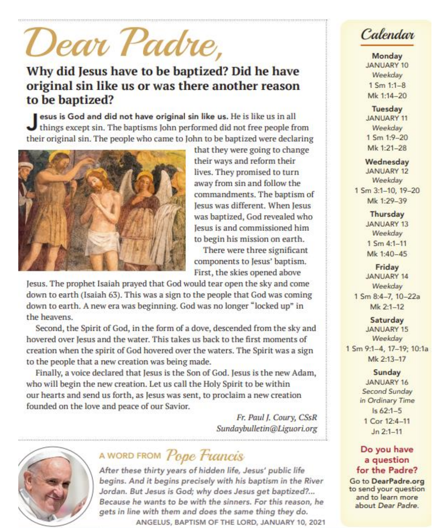# Dear Padre,

### Why did Jesus have to be baptized? Did he have original sin like us or was there another reason to be baptized?

esus is God and did not have original sin like us. He is like us in all things except sin. The baptisms John performed did not free people from their original sin. The people who came to John to be baptized were declaring



that they were going to change their ways and reform their lives. They promised to turn away from sin and follow the commandments. The baptism of Jesus was different. When Jesus was baptized, God revealed who lesus is and commissioned him to begin his mission on earth.

There were three significant components to Jesus' baptism. First, the skies opened above

Jesus. The prophet Isaiah prayed that God would tear open the sky and come down to earth (Isaiah 63). This was a sign to the people that God was coming down to earth. A new era was beginning. God was no longer "locked up" in the heavens.

Second, the Spirit of God, in the form of a dove, descended from the sky and hovered over Jesus and the water. This takes us back to the first moments of creation when the spirit of God hovered over the waters. The Spirit was a sign to the people that a new creation was being made.

Finally, a voice declared that Jesus is the Son of God. Jesus is the new Adam, who will begin the new creation. Let us call the Holy Spirit to be within our hearts and send us forth, as Jesus was sent, to proclaim a new creation founded on the love and peace of our Savior.

> Fr. Paul J. Coury, CSsR Sundaybulletin@Liguori.org



## A WORD FROM Pope Francis

After these thirty years of hidden life, Jesus' public life begins. And it begins precisely with his baptism in the River Jordan. But Jesus is God; why does Jesus get baptized?... Because he wants to be with the sinners. For this reason, he gets in line with them and does the same thing they do. ANGELUS, BAPTISM OF THE LORD, JANUARY 10, 2021

Calendar

Monday **JANUARY 10** Weekday  $1 \, \text{Sm} \, 1:1 - 8$ Mk 1:14-20

Tuesday **JANUARY 11** Weekday 1 Sm 1:9-20 Mk 1:21-28

Wednesday **JANUARY 12** Weekday 1 Sm 3:1-10, 19-20 Mk 1:29-39

> Thursday **JANUARY 13** Weekday  $1$  Sm 4:1-11 Mk 1:40-45

Friday **JANUARY 14** Weekday 1 Sm 8:4-7, 10-22a Mk 2:1-12

Saturday **JANUARY 15** Weekday 1 Sm 9:1-4, 17-19; 10:1a Mk 2:13-17

> Sunday **JANUARY 16** Second Sunday in Ordinary Time  $Is 62:1-5$ 1 Cor 12:4-11  $Jn 2:1-11$

#### Do you have a question for the Padre?

Go to DearPadre.org to send your question and to learn more about Dear Padre.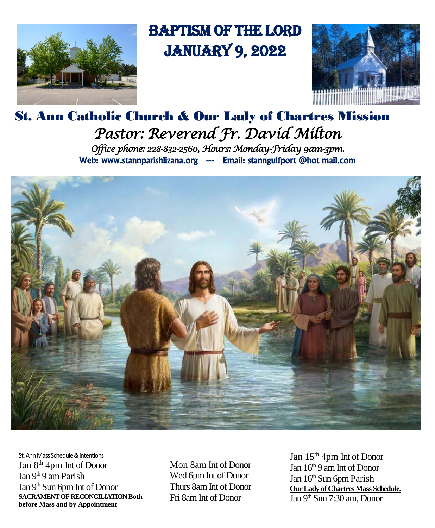

# Baptism of the Lord January 9, 2022



## St. Ann Catholic Church & Our Lady of Chartres Mission *Pastor: Reverend Fr. David Milton Office phone: 228-832-2560, Hours: Monday-Friday 9am-3pm.*  Web: www.stannparishlizana.org --- Email: stanngulfport @hot mail.com



St. Ann Mass Schedule & intentions Jan 8th 4pm Int of Donor Jan 9<sup>th</sup> 9 am Parish Jan 9<sup>th</sup> Sun 6pm Int of Donor **SACRAMENT OF RECONCILIATION Both before Mass and by Appointment**

Mon 8am Int of Donor Wed 6pm Int of Donor Thurs 8amInt of Donor Fri 8am Int of Donor

Jan 15th 4pm Int of Donor Jan 16<sup>th</sup> 9 am Int of Donor Jan 16<sup>th</sup> Sun 6pm Parish **Our Lady of Chartres Mass Schedule.**  Jan 9<sup>th</sup> Sun 7:30 am, Donor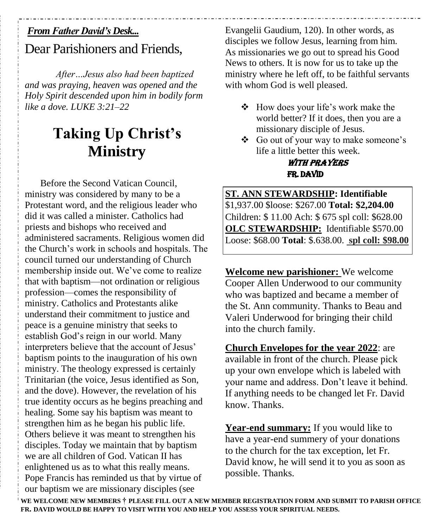#### *From Father David's Desk...*

## Dear Parishioners and Friends,

*After…Jesus also had been baptized and was praying, heaven was opened and the Holy Spirit descended upon him in bodily form like a dove. LUKE 3:21–22*

# **Taking Up Christ's Ministry**

Before the Second Vatican Council, ministry was considered by many to be a Protestant word, and the religious leader who did it was called a minister. Catholics had priests and bishops who received and administered sacraments. Religious women did the Church's work in schools and hospitals. The council turned our understanding of Church membership inside out. We've come to realize that with baptism—not ordination or religious profession—comes the responsibility of ministry. Catholics and Protestants alike understand their commitment to justice and peace is a genuine ministry that seeks to establish God's reign in our world. Many interpreters believe that the account of Jesus' baptism points to the inauguration of his own ministry. The theology expressed is certainly Trinitarian (the voice, Jesus identified as Son, and the dove). However, the revelation of his true identity occurs as he begins preaching and healing. Some say his baptism was meant to strengthen him as he began his public life. Others believe it was meant to strengthen his disciples. Today we maintain that by baptism we are all children of God. Vatican II has enlightened us as to what this really means. Pope Francis has reminded us that by virtue of our baptism we are missionary disciples (see

Evangelii Gaudium, 120). In other words, as disciples we follow Jesus, learning from him. As missionaries we go out to spread his Good News to others. It is now for us to take up the ministry where he left off, to be faithful servants with whom God is well pleased.

- $\div$  How does your life's work make the world better? If it does, then you are a missionary disciple of Jesus.
- Go out of your way to make someone's life a little better this week.

#### WITH PRAYERS Fr. David

**ST. ANN STEWARDSHIP: Identifiable** \$1,937.00 \$loose: \$267.00 **Total: \$2,204.00** Children: \$ 11.00 Ach: \$ 675 spl coll: \$628.00 **OLC STEWARDSHIP:** Identifiable \$570.00 Loose: \$68.00 **Total**: \$.638.00. **spl coll: \$98.00**

**Welcome new parishioner:** We welcome Cooper Allen Underwood to our community who was baptized and became a member of the St. Ann community. Thanks to Beau and Valeri Underwood for bringing their child into the church family.

**Church Envelopes for the year 2022**: are available in front of the church. Please pick up your own envelope which is labeled with your name and address. Don't leave it behind. If anything needs to be changed let Fr. David know. Thanks.

**Year-end summary:** If you would like to have a year-end summery of your donations to the church for the tax exception, let Fr. David know, he will send it to you as soon as possible. Thanks.

**WE WELCOME NEW MEMBERS † PLEASE FILL OUT A NEW MEMBER REGISTRATION FORM AND SUBMIT TO PARIS[H OFFICE](http://office.fr/) FR. DAVID WOULD BE HAPPY TO VISIT WITH YOU AND HELP YOU ASSESS YOUR SPIRITUAL NEEDS.**